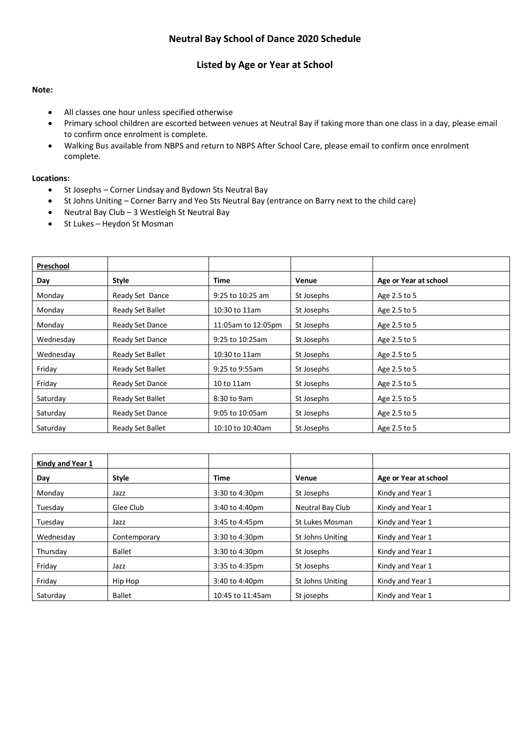#### **Listed by Age or Year at School**

#### **Note:**

- All classes one hour unless specified otherwise
- Primary school children are escorted between venues at Neutral Bay if taking more than one class in a day, please email to confirm once enrolment is complete.
- Walking Bus available from NBPS and return to NBPS After School Care, please email to confirm once enrolment complete.

#### **Locations:**

- St Josephs Corner Lindsay and Bydown Sts Neutral Bay
- St Johns Uniting Corner Barry and Yeo Sts Neutral Bay (entrance on Barry next to the child care)
- Neutral Bay Club 3 Westleigh St Neutral Bay
- St Lukes Heydon St Mosman

| Preschool |                  |                    |            |                       |
|-----------|------------------|--------------------|------------|-----------------------|
| Day       | <b>Style</b>     | Time               | Venue      | Age or Year at school |
| Monday    | Ready Set Dance  | 9:25 to 10:25 am   | St Josephs | Age 2.5 to 5          |
| Monday    | Ready Set Ballet | 10:30 to 11am      | St Josephs | Age 2.5 to 5          |
| Monday    | Ready Set Dance  | 11:05am to 12:05pm | St Josephs | Age 2.5 to 5          |
| Wednesday | Ready Set Dance  | 9:25 to 10:25am    | St Josephs | Age 2.5 to 5          |
| Wednesday | Ready Set Ballet | 10:30 to 11am      | St Josephs | Age 2.5 to 5          |
| Friday    | Ready Set Ballet | 9:25 to 9:55am     | St Josephs | Age 2.5 to 5          |
| Friday    | Ready Set Dance  | 10 to 11am         | St Josephs | Age 2.5 to 5          |
| Saturday  | Ready Set Ballet | 8:30 to 9am        | St Josephs | Age 2.5 to 5          |
| Saturday  | Ready Set Dance  | 9:05 to 10:05am    | St Josephs | Age 2.5 to 5          |
| Saturday  | Ready Set Ballet | 10:10 to 10:40am   | St Josephs | Age 2.5 to 5          |

| Kindy and Year 1 |               |                  |                  |                       |
|------------------|---------------|------------------|------------------|-----------------------|
| Day              | <b>Style</b>  | <b>Time</b>      | Venue            | Age or Year at school |
| Mondav           | Jazz          | 3:30 to 4:30pm   | St Josephs       | Kindy and Year 1      |
| Tuesday          | Glee Club     | 3:40 to 4:40pm   | Neutral Bay Club | Kindy and Year 1      |
| Tuesday          | Jazz          | 3:45 to 4:45pm   | St Lukes Mosman  | Kindy and Year 1      |
| Wednesday        | Contemporary  | 3:30 to 4:30pm   | St Johns Uniting | Kindy and Year 1      |
| Thursday         | <b>Ballet</b> | 3:30 to 4:30pm   | St Josephs       | Kindy and Year 1      |
| Friday           | Jazz          | 3:35 to 4:35pm   | St Josephs       | Kindy and Year 1      |
| Friday           | Hip Hop       | 3:40 to 4:40pm   | St Johns Uniting | Kindy and Year 1      |
| Saturday         | <b>Ballet</b> | 10:45 to 11:45am | St josephs       | Kindy and Year 1      |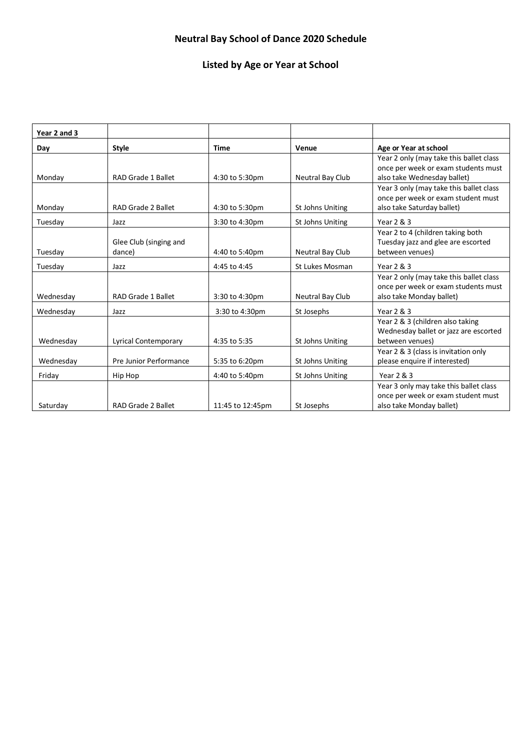## **Listed by Age or Year at School**

| Year 2 and 3 |                           |                  |                  |                                                                    |
|--------------|---------------------------|------------------|------------------|--------------------------------------------------------------------|
| Day          | <b>Style</b>              | <b>Time</b>      | Venue            | Age or Year at school                                              |
|              |                           |                  |                  | Year 2 only (may take this ballet class                            |
| Monday       | <b>RAD Grade 1 Ballet</b> | 4:30 to 5:30pm   | Neutral Bay Club | once per week or exam students must<br>also take Wednesday ballet) |
|              |                           |                  |                  | Year 3 only (may take this ballet class                            |
|              |                           |                  |                  | once per week or exam student must                                 |
| Monday       | RAD Grade 2 Ballet        | 4:30 to 5:30pm   | St Johns Uniting | also take Saturday ballet)                                         |
| Tuesday      | Jazz                      | 3:30 to 4:30pm   | St Johns Uniting | Year 2 & 3                                                         |
|              |                           |                  |                  | Year 2 to 4 (children taking both                                  |
|              | Glee Club (singing and    |                  |                  | Tuesday jazz and glee are escorted                                 |
| Tuesday      | dance)                    | 4:40 to 5:40pm   | Neutral Bay Club | between venues)                                                    |
| Tuesday      | Jazz                      | 4:45 to 4:45     | St Lukes Mosman  | Year 2 & 3                                                         |
|              |                           |                  |                  | Year 2 only (may take this ballet class                            |
|              |                           |                  |                  | once per week or exam students must                                |
| Wednesday    | <b>RAD Grade 1 Ballet</b> | 3:30 to 4:30pm   | Neutral Bay Club | also take Monday ballet)                                           |
| Wednesday    | Jazz                      | 3:30 to 4:30pm   | St Josephs       | Year 2 & 3                                                         |
|              |                           |                  |                  | Year 2 & 3 (children also taking                                   |
|              |                           |                  |                  | Wednesday ballet or jazz are escorted                              |
| Wednesday    | Lyrical Contemporary      | 4:35 to 5:35     | St Johns Uniting | between venues)                                                    |
|              |                           |                  |                  | Year 2 & 3 (class is invitation only                               |
| Wednesday    | Pre Junior Performance    | 5:35 to 6:20pm   | St Johns Uniting | please enquire if interested)                                      |
| Friday       | Hip Hop                   | 4:40 to 5:40pm   | St Johns Uniting | Year 2 & 3                                                         |
|              |                           |                  |                  | Year 3 only may take this ballet class                             |
|              |                           |                  |                  | once per week or exam student must                                 |
| Saturday     | RAD Grade 2 Ballet        | 11:45 to 12:45pm | St Josephs       | also take Monday ballet)                                           |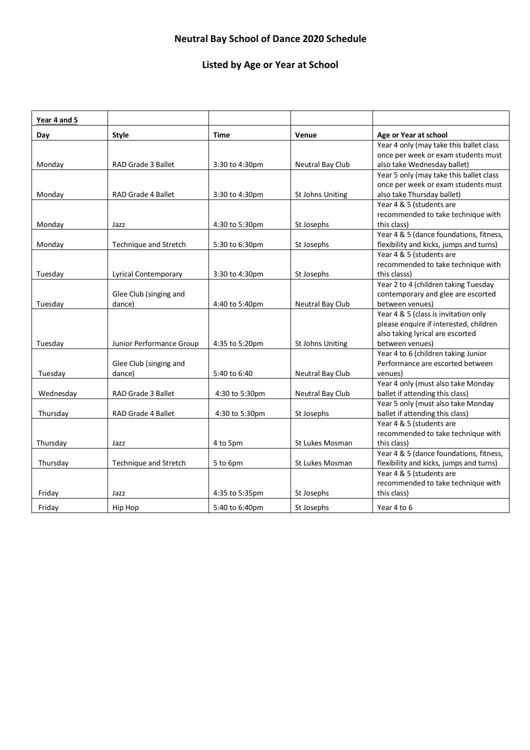## **Listed by Age or Year at School**

h

F

| Age or Year at school                   |
|-----------------------------------------|
|                                         |
| Year 4 only (may take this ballet class |
| once per week or exam students must     |
| also take Wednesday ballet)             |
| Year 5 only (may take this ballet class |
| once per week or exam students must     |
| also take Thursday ballet)              |
| Year 4 & 5 (students are                |
| recommended to take technique with      |
|                                         |
| Year 4 & 5 (dance foundations, fitness, |
| flexibility and kicks, jumps and turns) |
| Year 4 & 5 (students are                |
| recommended to take technique with      |
|                                         |
| Year 2 to 4 (children taking Tuesday    |
| contemporary and glee are escorted      |
| between venues)                         |
| Year 4 & 5 (class is invitation only    |
| please enquire if interested, children  |
| also taking lyrical are escorted        |
| between venues)                         |
| Year 4 to 6 (children taking Junior     |
| Performance are escorted between        |
|                                         |
| Year 4 only (must also take Monday      |
| ballet if attending this class)         |
| Year 5 only (must also take Monday      |
| ballet if attending this class)         |
| Year 4 & 5 (students are                |
| recommended to take technique with      |
|                                         |
| Year 4 & 5 (dance foundations, fitness, |
| flexibility and kicks, jumps and turns) |
| Year 4 & 5 (students are                |
| recommended to take technique with      |
|                                         |
|                                         |
|                                         |